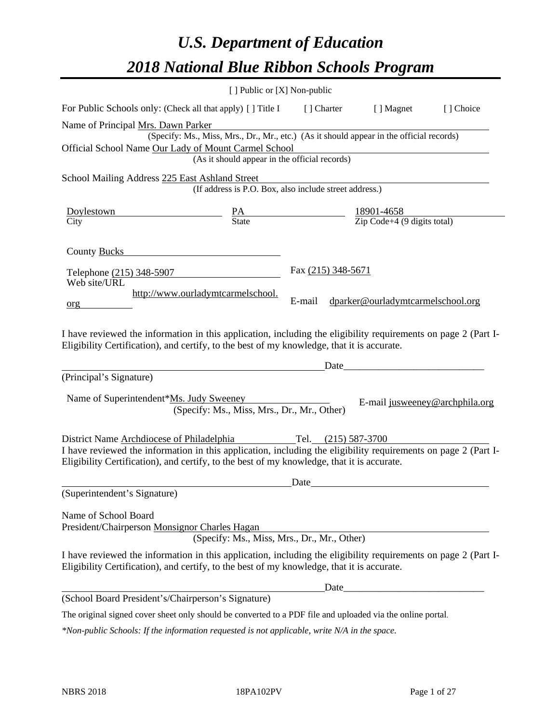# *U.S. Department of Education 2018 National Blue Ribbon Schools Program*

|                                                                                                                                                                                                              | [ ] Public or [X] Non-public                                                             |                    |                                                                                                                                                                                                                                                                                                                                                                                           |           |
|--------------------------------------------------------------------------------------------------------------------------------------------------------------------------------------------------------------|------------------------------------------------------------------------------------------|--------------------|-------------------------------------------------------------------------------------------------------------------------------------------------------------------------------------------------------------------------------------------------------------------------------------------------------------------------------------------------------------------------------------------|-----------|
| For Public Schools only: (Check all that apply) [] Title I [] Charter [] Magnet                                                                                                                              |                                                                                          |                    |                                                                                                                                                                                                                                                                                                                                                                                           | [] Choice |
| Name of Principal Mrs. Dawn Parker                                                                                                                                                                           |                                                                                          |                    |                                                                                                                                                                                                                                                                                                                                                                                           |           |
|                                                                                                                                                                                                              | (Specify: Ms., Miss, Mrs., Dr., Mr., etc.) (As it should appear in the official records) |                    |                                                                                                                                                                                                                                                                                                                                                                                           |           |
| Official School Name Our Lady of Mount Carmel School                                                                                                                                                         |                                                                                          |                    | <u> 1989 - Johann Barn, mars ann an t-Amhain Aonaich an t-Aonaich an t-Aonaich ann an t-Aonaich ann an t-Aonaich</u>                                                                                                                                                                                                                                                                      |           |
|                                                                                                                                                                                                              | (As it should appear in the official records)                                            |                    |                                                                                                                                                                                                                                                                                                                                                                                           |           |
| School Mailing Address 225 East Ashland Street                                                                                                                                                               |                                                                                          |                    |                                                                                                                                                                                                                                                                                                                                                                                           |           |
|                                                                                                                                                                                                              | (If address is P.O. Box, also include street address.)                                   |                    |                                                                                                                                                                                                                                                                                                                                                                                           |           |
| $\frac{\text{Doylestown}}{\text{Citv}}$ $\frac{\text{PA}}{\text{State}}$ $\frac{18901-4658}{\text{Zip Code}+4 (9 \text{ digits total})}$                                                                     |                                                                                          |                    |                                                                                                                                                                                                                                                                                                                                                                                           |           |
|                                                                                                                                                                                                              |                                                                                          |                    |                                                                                                                                                                                                                                                                                                                                                                                           |           |
|                                                                                                                                                                                                              |                                                                                          |                    |                                                                                                                                                                                                                                                                                                                                                                                           |           |
| County Bucks <b>Example 2</b>                                                                                                                                                                                |                                                                                          |                    |                                                                                                                                                                                                                                                                                                                                                                                           |           |
| Telephone (215) 348-5907                                                                                                                                                                                     |                                                                                          | Fax (215) 348-5671 |                                                                                                                                                                                                                                                                                                                                                                                           |           |
| Web site/URL                                                                                                                                                                                                 |                                                                                          |                    |                                                                                                                                                                                                                                                                                                                                                                                           |           |
|                                                                                                                                                                                                              | http://www.ourladymtcarmelschool.                                                        | E-mail             | dparker@ourladymtcarmelschool.org                                                                                                                                                                                                                                                                                                                                                         |           |
| org                                                                                                                                                                                                          |                                                                                          |                    |                                                                                                                                                                                                                                                                                                                                                                                           |           |
|                                                                                                                                                                                                              |                                                                                          |                    |                                                                                                                                                                                                                                                                                                                                                                                           |           |
| I have reviewed the information in this application, including the eligibility requirements on page 2 (Part I-                                                                                               |                                                                                          |                    |                                                                                                                                                                                                                                                                                                                                                                                           |           |
| Eligibility Certification), and certify, to the best of my knowledge, that it is accurate.                                                                                                                   |                                                                                          |                    |                                                                                                                                                                                                                                                                                                                                                                                           |           |
|                                                                                                                                                                                                              |                                                                                          |                    | $Date$ $\qquad \qquad$ $\qquad \qquad$ $\qquad \qquad$ $\qquad \qquad$ $\qquad \qquad$ $\qquad \qquad$ $\qquad \qquad$ $\qquad \qquad$ $\qquad \qquad$ $\qquad \qquad$ $\qquad \qquad$ $\qquad \qquad$ $\qquad \qquad$ $\qquad \qquad$ $\qquad \qquad$ $\qquad \qquad$ $\qquad$ $\qquad \qquad$ $\qquad$ $\qquad$ $\qquad$ $\qquad$ $\qquad$ $\qquad$ $\qquad$ $\qquad$ $\qquad$ $\qquad$ |           |
| (Principal's Signature)                                                                                                                                                                                      |                                                                                          |                    |                                                                                                                                                                                                                                                                                                                                                                                           |           |
|                                                                                                                                                                                                              |                                                                                          |                    |                                                                                                                                                                                                                                                                                                                                                                                           |           |
| Name of Superintendent*Ms. Judy Sweeney                                                                                                                                                                      | (Specify: Ms., Miss, Mrs., Dr., Mr., Other)                                              |                    | E-mail jusweeney@archphila.org                                                                                                                                                                                                                                                                                                                                                            |           |
|                                                                                                                                                                                                              |                                                                                          |                    |                                                                                                                                                                                                                                                                                                                                                                                           |           |
| District Name Archdiocese of Philadelphia Tel. (215) 587-3700                                                                                                                                                |                                                                                          |                    |                                                                                                                                                                                                                                                                                                                                                                                           |           |
| I have reviewed the information in this application, including the eligibility requirements on page 2 (Part I-                                                                                               |                                                                                          |                    |                                                                                                                                                                                                                                                                                                                                                                                           |           |
| Eligibility Certification), and certify, to the best of my knowledge, that it is accurate.                                                                                                                   |                                                                                          |                    |                                                                                                                                                                                                                                                                                                                                                                                           |           |
|                                                                                                                                                                                                              |                                                                                          | Date               |                                                                                                                                                                                                                                                                                                                                                                                           |           |
| (Superintendent's Signature)                                                                                                                                                                                 |                                                                                          |                    |                                                                                                                                                                                                                                                                                                                                                                                           |           |
|                                                                                                                                                                                                              |                                                                                          |                    |                                                                                                                                                                                                                                                                                                                                                                                           |           |
| Name of School Board                                                                                                                                                                                         |                                                                                          |                    |                                                                                                                                                                                                                                                                                                                                                                                           |           |
| President/Chairperson Monsignor Charles Hagan                                                                                                                                                                | (Specify: Ms., Miss, Mrs., Dr., Mr., Other)                                              |                    |                                                                                                                                                                                                                                                                                                                                                                                           |           |
|                                                                                                                                                                                                              |                                                                                          |                    |                                                                                                                                                                                                                                                                                                                                                                                           |           |
| I have reviewed the information in this application, including the eligibility requirements on page 2 (Part I-<br>Eligibility Certification), and certify, to the best of my knowledge, that it is accurate. |                                                                                          |                    |                                                                                                                                                                                                                                                                                                                                                                                           |           |
|                                                                                                                                                                                                              |                                                                                          | Date               |                                                                                                                                                                                                                                                                                                                                                                                           |           |
| (School Board President's/Chairperson's Signature)                                                                                                                                                           |                                                                                          |                    |                                                                                                                                                                                                                                                                                                                                                                                           |           |
| The original signed cover sheet only should be converted to a PDF file and uploaded via the online portal.                                                                                                   |                                                                                          |                    |                                                                                                                                                                                                                                                                                                                                                                                           |           |

*\*Non-public Schools: If the information requested is not applicable, write N/A in the space.*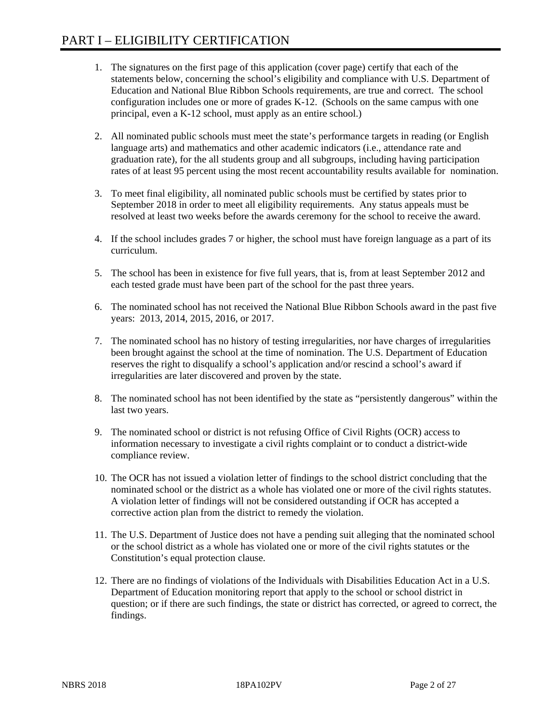- 1. The signatures on the first page of this application (cover page) certify that each of the statements below, concerning the school's eligibility and compliance with U.S. Department of Education and National Blue Ribbon Schools requirements, are true and correct. The school configuration includes one or more of grades K-12. (Schools on the same campus with one principal, even a K-12 school, must apply as an entire school.)
- 2. All nominated public schools must meet the state's performance targets in reading (or English language arts) and mathematics and other academic indicators (i.e., attendance rate and graduation rate), for the all students group and all subgroups, including having participation rates of at least 95 percent using the most recent accountability results available for nomination.
- 3. To meet final eligibility, all nominated public schools must be certified by states prior to September 2018 in order to meet all eligibility requirements. Any status appeals must be resolved at least two weeks before the awards ceremony for the school to receive the award.
- 4. If the school includes grades 7 or higher, the school must have foreign language as a part of its curriculum.
- 5. The school has been in existence for five full years, that is, from at least September 2012 and each tested grade must have been part of the school for the past three years.
- 6. The nominated school has not received the National Blue Ribbon Schools award in the past five years: 2013, 2014, 2015, 2016, or 2017.
- 7. The nominated school has no history of testing irregularities, nor have charges of irregularities been brought against the school at the time of nomination. The U.S. Department of Education reserves the right to disqualify a school's application and/or rescind a school's award if irregularities are later discovered and proven by the state.
- 8. The nominated school has not been identified by the state as "persistently dangerous" within the last two years.
- 9. The nominated school or district is not refusing Office of Civil Rights (OCR) access to information necessary to investigate a civil rights complaint or to conduct a district-wide compliance review.
- 10. The OCR has not issued a violation letter of findings to the school district concluding that the nominated school or the district as a whole has violated one or more of the civil rights statutes. A violation letter of findings will not be considered outstanding if OCR has accepted a corrective action plan from the district to remedy the violation.
- 11. The U.S. Department of Justice does not have a pending suit alleging that the nominated school or the school district as a whole has violated one or more of the civil rights statutes or the Constitution's equal protection clause.
- 12. There are no findings of violations of the Individuals with Disabilities Education Act in a U.S. Department of Education monitoring report that apply to the school or school district in question; or if there are such findings, the state or district has corrected, or agreed to correct, the findings.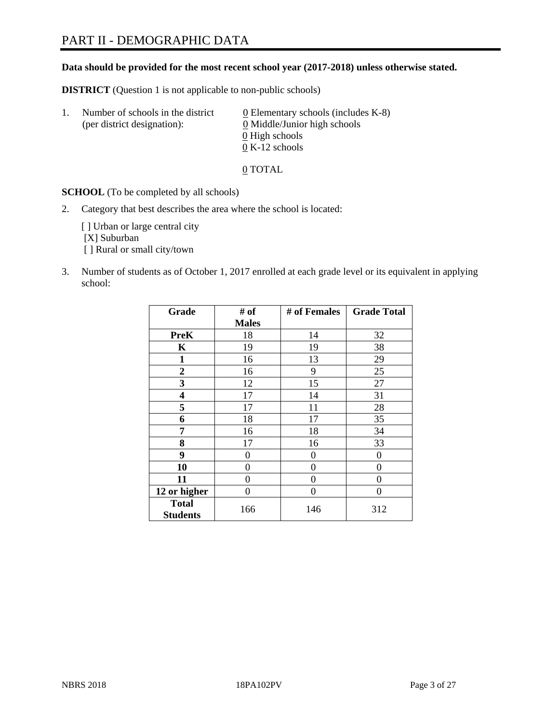# PART II - DEMOGRAPHIC DATA

## **Data should be provided for the most recent school year (2017-2018) unless otherwise stated.**

**DISTRICT** (Question 1 is not applicable to non-public schools)

| Τ. | Number of schools in the district<br>(per district designation): | 0 Elementary schools (includes K-8)<br>0 Middle/Junior high schools |
|----|------------------------------------------------------------------|---------------------------------------------------------------------|
|    |                                                                  | 0 High schools                                                      |
|    |                                                                  | $0 K-12$ schools                                                    |

0 TOTAL

**SCHOOL** (To be completed by all schools)

2. Category that best describes the area where the school is located:

[] Urban or large central city [X] Suburban [] Rural or small city/town

3. Number of students as of October 1, 2017 enrolled at each grade level or its equivalent in applying school:

| Grade                           | # of         | # of Females | <b>Grade Total</b> |
|---------------------------------|--------------|--------------|--------------------|
|                                 | <b>Males</b> |              |                    |
| <b>PreK</b>                     | 18           | 14           | 32                 |
| $\mathbf K$                     | 19           | 19           | 38                 |
| $\mathbf{1}$                    | 16           | 13           | 29                 |
| 2                               | 16           | 9            | 25                 |
| 3                               | 12           | 15           | 27                 |
| 4                               | 17           | 14           | 31                 |
| 5                               | 17           | 11           | 28                 |
| 6                               | 18           | 17           | 35                 |
| 7                               | 16           | 18           | 34                 |
| 8                               | 17           | 16           | 33                 |
| 9                               | 0            | 0            | 0                  |
| 10                              | 0            | $\theta$     | 0                  |
| 11                              | 0            | $\theta$     | 0                  |
| 12 or higher                    | 0            | $\Omega$     | 0                  |
| <b>Total</b><br><b>Students</b> | 166          | 146          | 312                |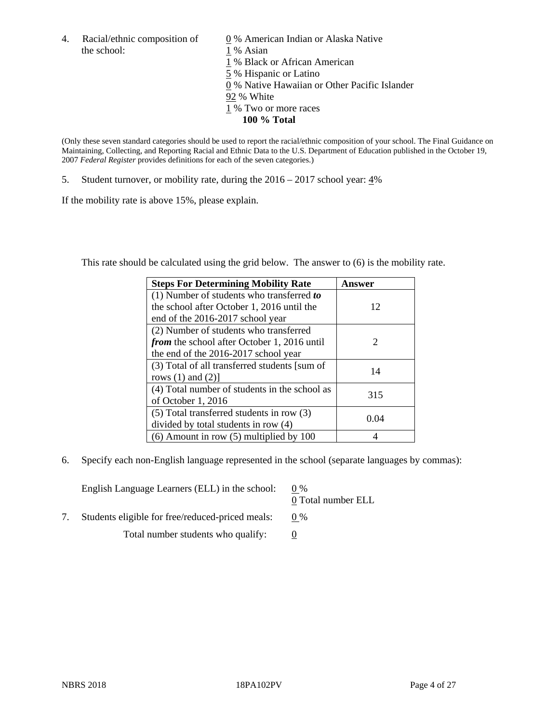4. Racial/ethnic composition of  $\qquad 0\%$  American Indian or Alaska Native the school: 1 % Asian

 % Black or African American % Hispanic or Latino % Native Hawaiian or Other Pacific Islander 92 % White % Two or more races **100 % Total**

(Only these seven standard categories should be used to report the racial/ethnic composition of your school. The Final Guidance on Maintaining, Collecting, and Reporting Racial and Ethnic Data to the U.S. Department of Education published in the October 19, 2007 *Federal Register* provides definitions for each of the seven categories.)

5. Student turnover, or mobility rate, during the  $2016 - 2017$  school year:  $4\%$ 

If the mobility rate is above 15%, please explain.

This rate should be calculated using the grid below. The answer to (6) is the mobility rate.

| <b>Steps For Determining Mobility Rate</b>    | <b>Answer</b> |
|-----------------------------------------------|---------------|
| $(1)$ Number of students who transferred to   |               |
| the school after October 1, 2016 until the    | 12            |
| end of the 2016-2017 school year              |               |
| (2) Number of students who transferred        |               |
| from the school after October 1, 2016 until   | 2             |
| the end of the 2016-2017 school year          |               |
| (3) Total of all transferred students [sum of | 14            |
| rows $(1)$ and $(2)$ ]                        |               |
| (4) Total number of students in the school as | 315           |
| of October 1, 2016                            |               |
| $(5)$ Total transferred students in row $(3)$ | 0.04          |
| divided by total students in row (4)          |               |
| $(6)$ Amount in row $(5)$ multiplied by 100   |               |

6. Specify each non-English language represented in the school (separate languages by commas):

| English Language Learners (ELL) in the school:   | $0\%$<br>0 Total number ELL |
|--------------------------------------------------|-----------------------------|
| Students eligible for free/reduced-priced meals: | $0\%$                       |
| Total number students who qualify:               |                             |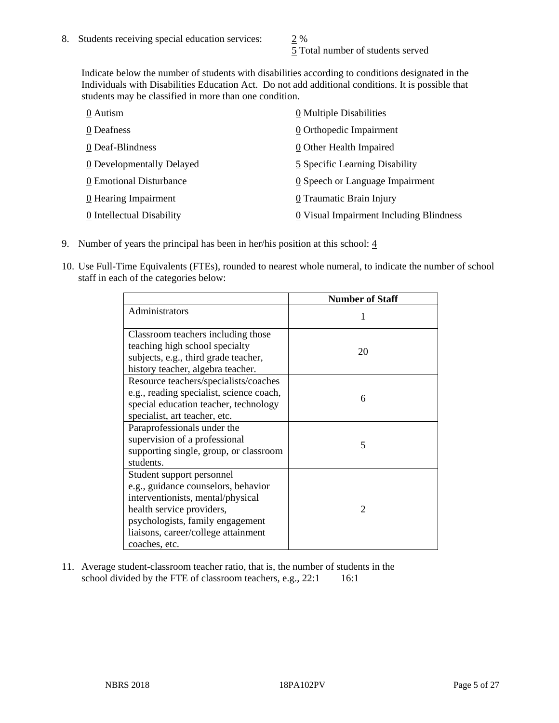5 Total number of students served

Indicate below the number of students with disabilities according to conditions designated in the Individuals with Disabilities Education Act. Do not add additional conditions. It is possible that students may be classified in more than one condition.

| 0 Autism                           | 0 Multiple Disabilities                 |
|------------------------------------|-----------------------------------------|
| 0 Deafness                         | 0 Orthopedic Impairment                 |
| 0 Deaf-Blindness                   | 0 Other Health Impaired                 |
| 0 Developmentally Delayed          | 5 Specific Learning Disability          |
| 0 Emotional Disturbance            | 0 Speech or Language Impairment         |
| $\underline{0}$ Hearing Impairment | 0 Traumatic Brain Injury                |
| 0 Intellectual Disability          | 0 Visual Impairment Including Blindness |

- 9. Number of years the principal has been in her/his position at this school:  $\frac{4}{3}$
- 10. Use Full-Time Equivalents (FTEs), rounded to nearest whole numeral, to indicate the number of school staff in each of the categories below:

|                                                                                                                                                                                                                                | <b>Number of Staff</b> |
|--------------------------------------------------------------------------------------------------------------------------------------------------------------------------------------------------------------------------------|------------------------|
| Administrators                                                                                                                                                                                                                 |                        |
| Classroom teachers including those<br>teaching high school specialty<br>subjects, e.g., third grade teacher,<br>history teacher, algebra teacher.                                                                              | 20                     |
| Resource teachers/specialists/coaches<br>e.g., reading specialist, science coach,<br>special education teacher, technology<br>specialist, art teacher, etc.                                                                    | 6                      |
| Paraprofessionals under the<br>supervision of a professional<br>supporting single, group, or classroom<br>students.                                                                                                            | 5                      |
| Student support personnel<br>e.g., guidance counselors, behavior<br>interventionists, mental/physical<br>health service providers,<br>psychologists, family engagement<br>liaisons, career/college attainment<br>coaches, etc. | $\mathcal{D}$          |

11. Average student-classroom teacher ratio, that is, the number of students in the school divided by the FTE of classroom teachers, e.g.,  $22:1$  16:1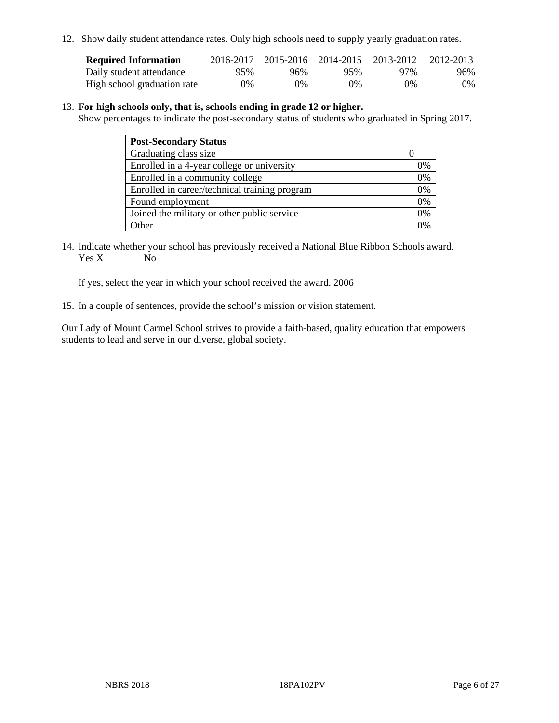12. Show daily student attendance rates. Only high schools need to supply yearly graduation rates.

| <b>Required Information</b> | 2016-2017 | $2015 - 2016$ | 2014-2015 | 2013-2012 | 2012-2013 |
|-----------------------------|-----------|---------------|-----------|-----------|-----------|
| Daily student attendance    | 95%       | 96%           | 95%       | 97%       | 96%       |
| High school graduation rate | 0%        | 0%            | 0%        | 0%        | 0%        |

#### 13. **For high schools only, that is, schools ending in grade 12 or higher.**

Show percentages to indicate the post-secondary status of students who graduated in Spring 2017.

| <b>Post-Secondary Status</b>                  |          |
|-----------------------------------------------|----------|
| Graduating class size                         |          |
| Enrolled in a 4-year college or university    | 0%       |
| Enrolled in a community college               | 0%       |
| Enrolled in career/technical training program | 0%       |
| Found employment                              | 0%       |
| Joined the military or other public service   | 0%       |
| <b>Other</b>                                  | $\gamma$ |

14. Indicate whether your school has previously received a National Blue Ribbon Schools award. Yes X No

If yes, select the year in which your school received the award. 2006

15. In a couple of sentences, provide the school's mission or vision statement.

Our Lady of Mount Carmel School strives to provide a faith-based, quality education that empowers students to lead and serve in our diverse, global society.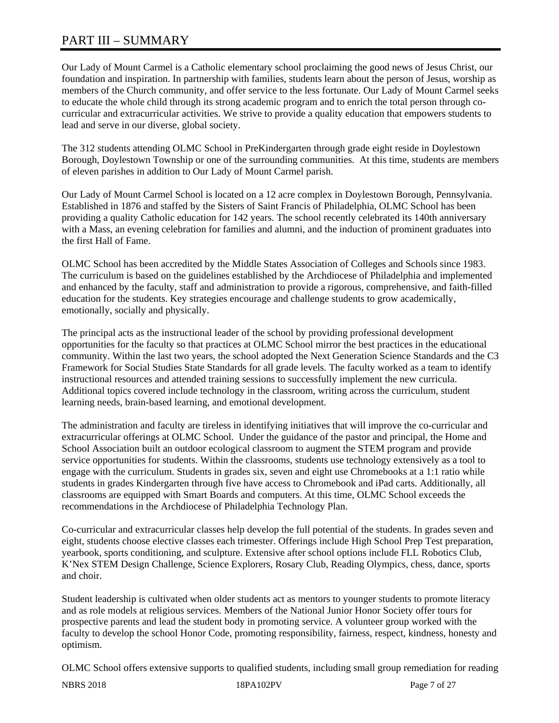# PART III – SUMMARY

Our Lady of Mount Carmel is a Catholic elementary school proclaiming the good news of Jesus Christ, our foundation and inspiration. In partnership with families, students learn about the person of Jesus, worship as members of the Church community, and offer service to the less fortunate. Our Lady of Mount Carmel seeks to educate the whole child through its strong academic program and to enrich the total person through cocurricular and extracurricular activities. We strive to provide a quality education that empowers students to lead and serve in our diverse, global society.

The 312 students attending OLMC School in PreKindergarten through grade eight reside in Doylestown Borough, Doylestown Township or one of the surrounding communities. At this time, students are members of eleven parishes in addition to Our Lady of Mount Carmel parish.

Our Lady of Mount Carmel School is located on a 12 acre complex in Doylestown Borough, Pennsylvania. Established in 1876 and staffed by the Sisters of Saint Francis of Philadelphia, OLMC School has been providing a quality Catholic education for 142 years. The school recently celebrated its 140th anniversary with a Mass, an evening celebration for families and alumni, and the induction of prominent graduates into the first Hall of Fame.

OLMC School has been accredited by the Middle States Association of Colleges and Schools since 1983. The curriculum is based on the guidelines established by the Archdiocese of Philadelphia and implemented and enhanced by the faculty, staff and administration to provide a rigorous, comprehensive, and faith-filled education for the students. Key strategies encourage and challenge students to grow academically, emotionally, socially and physically.

The principal acts as the instructional leader of the school by providing professional development opportunities for the faculty so that practices at OLMC School mirror the best practices in the educational community. Within the last two years, the school adopted the Next Generation Science Standards and the C3 Framework for Social Studies State Standards for all grade levels. The faculty worked as a team to identify instructional resources and attended training sessions to successfully implement the new curricula. Additional topics covered include technology in the classroom, writing across the curriculum, student learning needs, brain-based learning, and emotional development.

The administration and faculty are tireless in identifying initiatives that will improve the co-curricular and extracurricular offerings at OLMC School. Under the guidance of the pastor and principal, the Home and School Association built an outdoor ecological classroom to augment the STEM program and provide service opportunities for students. Within the classrooms, students use technology extensively as a tool to engage with the curriculum. Students in grades six, seven and eight use Chromebooks at a 1:1 ratio while students in grades Kindergarten through five have access to Chromebook and iPad carts. Additionally, all classrooms are equipped with Smart Boards and computers. At this time, OLMC School exceeds the recommendations in the Archdiocese of Philadelphia Technology Plan.

Co-curricular and extracurricular classes help develop the full potential of the students. In grades seven and eight, students choose elective classes each trimester. Offerings include High School Prep Test preparation, yearbook, sports conditioning, and sculpture. Extensive after school options include FLL Robotics Club, K'Nex STEM Design Challenge, Science Explorers, Rosary Club, Reading Olympics, chess, dance, sports and choir.

Student leadership is cultivated when older students act as mentors to younger students to promote literacy and as role models at religious services. Members of the National Junior Honor Society offer tours for prospective parents and lead the student body in promoting service. A volunteer group worked with the faculty to develop the school Honor Code, promoting responsibility, fairness, respect, kindness, honesty and optimism.

OLMC School offers extensive supports to qualified students, including small group remediation for reading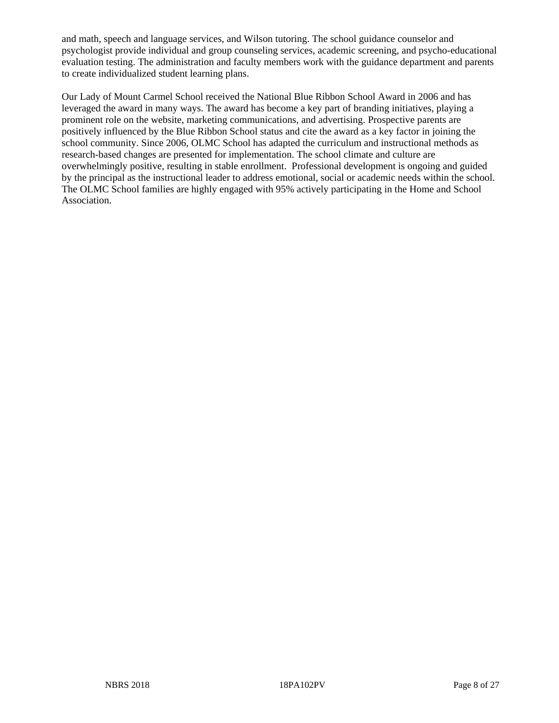and math, speech and language services, and Wilson tutoring. The school guidance counselor and psychologist provide individual and group counseling services, academic screening, and psycho-educational evaluation testing. The administration and faculty members work with the guidance department and parents to create individualized student learning plans.

Our Lady of Mount Carmel School received the National Blue Ribbon School Award in 2006 and has leveraged the award in many ways. The award has become a key part of branding initiatives, playing a prominent role on the website, marketing communications, and advertising. Prospective parents are positively influenced by the Blue Ribbon School status and cite the award as a key factor in joining the school community. Since 2006, OLMC School has adapted the curriculum and instructional methods as research-based changes are presented for implementation. The school climate and culture are overwhelmingly positive, resulting in stable enrollment. Professional development is ongoing and guided by the principal as the instructional leader to address emotional, social or academic needs within the school. The OLMC School families are highly engaged with 95% actively participating in the Home and School Association.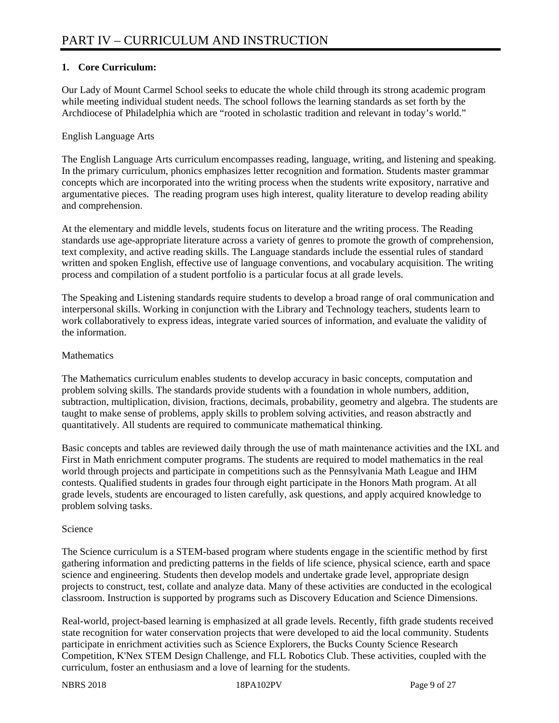## **1. Core Curriculum:**

Our Lady of Mount Carmel School seeks to educate the whole child through its strong academic program while meeting individual student needs. The school follows the learning standards as set forth by the Archdiocese of Philadelphia which are "rooted in scholastic tradition and relevant in today's world."

#### English Language Arts

The English Language Arts curriculum encompasses reading, language, writing, and listening and speaking. In the primary curriculum, phonics emphasizes letter recognition and formation. Students master grammar concepts which are incorporated into the writing process when the students write expository, narrative and argumentative pieces. The reading program uses high interest, quality literature to develop reading ability and comprehension.

At the elementary and middle levels, students focus on literature and the writing process. The Reading standards use age-appropriate literature across a variety of genres to promote the growth of comprehension, text complexity, and active reading skills. The Language standards include the essential rules of standard written and spoken English, effective use of language conventions, and vocabulary acquisition. The writing process and compilation of a student portfolio is a particular focus at all grade levels.

The Speaking and Listening standards require students to develop a broad range of oral communication and interpersonal skills. Working in conjunction with the Library and Technology teachers, students learn to work collaboratively to express ideas, integrate varied sources of information, and evaluate the validity of the information.

#### **Mathematics**

The Mathematics curriculum enables students to develop accuracy in basic concepts, computation and problem solving skills. The standards provide students with a foundation in whole numbers, addition, subtraction, multiplication, division, fractions, decimals, probability, geometry and algebra. The students are taught to make sense of problems, apply skills to problem solving activities, and reason abstractly and quantitatively. All students are required to communicate mathematical thinking.

Basic concepts and tables are reviewed daily through the use of math maintenance activities and the IXL and First in Math enrichment computer programs. The students are required to model mathematics in the real world through projects and participate in competitions such as the Pennsylvania Math League and IHM contests. Qualified students in grades four through eight participate in the Honors Math program. At all grade levels, students are encouraged to listen carefully, ask questions, and apply acquired knowledge to problem solving tasks.

## Science

The Science curriculum is a STEM-based program where students engage in the scientific method by first gathering information and predicting patterns in the fields of life science, physical science, earth and space science and engineering. Students then develop models and undertake grade level, appropriate design projects to construct, test, collate and analyze data. Many of these activities are conducted in the ecological classroom. Instruction is supported by programs such as Discovery Education and Science Dimensions.

Real-world, project-based learning is emphasized at all grade levels. Recently, fifth grade students received state recognition for water conservation projects that were developed to aid the local community. Students participate in enrichment activities such as Science Explorers, the Bucks County Science Research Competition, K'Nex STEM Design Challenge, and FLL Robotics Club. These activities, coupled with the curriculum, foster an enthusiasm and a love of learning for the students.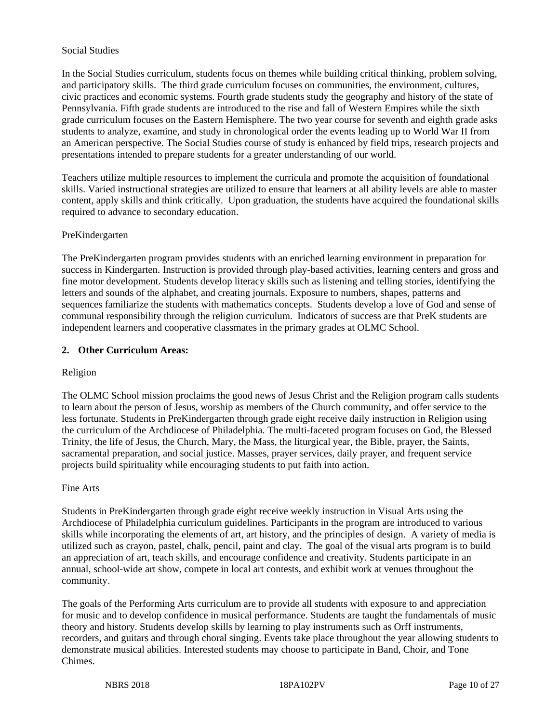#### Social Studies

In the Social Studies curriculum, students focus on themes while building critical thinking, problem solving, and participatory skills. The third grade curriculum focuses on communities, the environment, cultures, civic practices and economic systems. Fourth grade students study the geography and history of the state of Pennsylvania. Fifth grade students are introduced to the rise and fall of Western Empires while the sixth grade curriculum focuses on the Eastern Hemisphere. The two year course for seventh and eighth grade asks students to analyze, examine, and study in chronological order the events leading up to World War II from an American perspective. The Social Studies course of study is enhanced by field trips, research projects and presentations intended to prepare students for a greater understanding of our world.

Teachers utilize multiple resources to implement the curricula and promote the acquisition of foundational skills. Varied instructional strategies are utilized to ensure that learners at all ability levels are able to master content, apply skills and think critically. Upon graduation, the students have acquired the foundational skills required to advance to secondary education.

#### PreKindergarten

The PreKindergarten program provides students with an enriched learning environment in preparation for success in Kindergarten. Instruction is provided through play-based activities, learning centers and gross and fine motor development. Students develop literacy skills such as listening and telling stories, identifying the letters and sounds of the alphabet, and creating journals. Exposure to numbers, shapes, patterns and sequences familiarize the students with mathematics concepts. Students develop a love of God and sense of communal responsibility through the religion curriculum. Indicators of success are that PreK students are independent learners and cooperative classmates in the primary grades at OLMC School.

#### **2. Other Curriculum Areas:**

#### Religion

The OLMC School mission proclaims the good news of Jesus Christ and the Religion program calls students to learn about the person of Jesus, worship as members of the Church community, and offer service to the less fortunate. Students in PreKindergarten through grade eight receive daily instruction in Religion using the curriculum of the Archdiocese of Philadelphia. The multi-faceted program focuses on God, the Blessed Trinity, the life of Jesus, the Church, Mary, the Mass, the liturgical year, the Bible, prayer, the Saints, sacramental preparation, and social justice. Masses, prayer services, daily prayer, and frequent service projects build spirituality while encouraging students to put faith into action.

#### Fine Arts

Students in PreKindergarten through grade eight receive weekly instruction in Visual Arts using the Archdiocese of Philadelphia curriculum guidelines. Participants in the program are introduced to various skills while incorporating the elements of art, art history, and the principles of design. A variety of media is utilized such as crayon, pastel, chalk, pencil, paint and clay. The goal of the visual arts program is to build an appreciation of art, teach skills, and encourage confidence and creativity. Students participate in an annual, school-wide art show, compete in local art contests, and exhibit work at venues throughout the community.

The goals of the Performing Arts curriculum are to provide all students with exposure to and appreciation for music and to develop confidence in musical performance. Students are taught the fundamentals of music theory and history. Students develop skills by learning to play instruments such as Orff instruments, recorders, and guitars and through choral singing. Events take place throughout the year allowing students to demonstrate musical abilities. Interested students may choose to participate in Band, Choir, and Tone Chimes.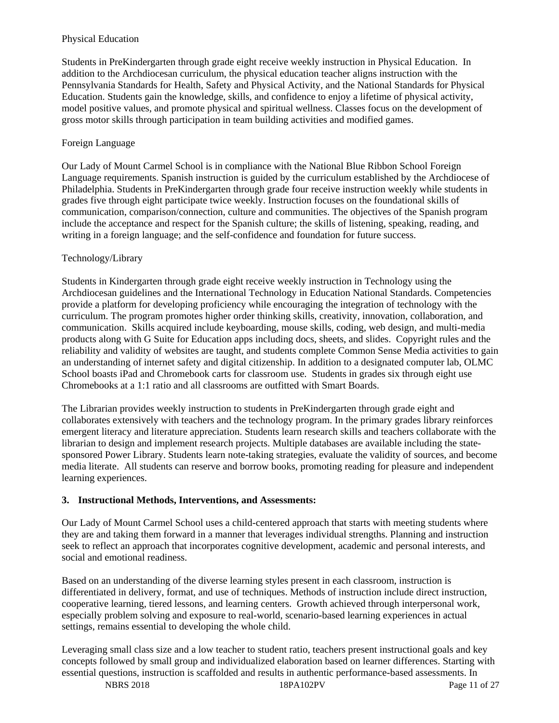#### Physical Education

Students in PreKindergarten through grade eight receive weekly instruction in Physical Education. In addition to the Archdiocesan curriculum, the physical education teacher aligns instruction with the Pennsylvania Standards for Health, Safety and Physical Activity, and the National Standards for Physical Education. Students gain the knowledge, skills, and confidence to enjoy a lifetime of physical activity, model positive values, and promote physical and spiritual wellness. Classes focus on the development of gross motor skills through participation in team building activities and modified games.

#### Foreign Language

Our Lady of Mount Carmel School is in compliance with the National Blue Ribbon School Foreign Language requirements. Spanish instruction is guided by the curriculum established by the Archdiocese of Philadelphia. Students in PreKindergarten through grade four receive instruction weekly while students in grades five through eight participate twice weekly. Instruction focuses on the foundational skills of communication, comparison/connection, culture and communities. The objectives of the Spanish program include the acceptance and respect for the Spanish culture; the skills of listening, speaking, reading, and writing in a foreign language; and the self-confidence and foundation for future success.

#### Technology/Library

Students in Kindergarten through grade eight receive weekly instruction in Technology using the Archdiocesan guidelines and the International Technology in Education National Standards. Competencies provide a platform for developing proficiency while encouraging the integration of technology with the curriculum. The program promotes higher order thinking skills, creativity, innovation, collaboration, and communication. Skills acquired include keyboarding, mouse skills, coding, web design, and multi-media products along with G Suite for Education apps including docs, sheets, and slides. Copyright rules and the reliability and validity of websites are taught, and students complete Common Sense Media activities to gain an understanding of internet safety and digital citizenship. In addition to a designated computer lab, OLMC School boasts iPad and Chromebook carts for classroom use. Students in grades six through eight use Chromebooks at a 1:1 ratio and all classrooms are outfitted with Smart Boards.

The Librarian provides weekly instruction to students in PreKindergarten through grade eight and collaborates extensively with teachers and the technology program. In the primary grades library reinforces emergent literacy and literature appreciation. Students learn research skills and teachers collaborate with the librarian to design and implement research projects. Multiple databases are available including the statesponsored Power Library. Students learn note-taking strategies, evaluate the validity of sources, and become media literate. All students can reserve and borrow books, promoting reading for pleasure and independent learning experiences.

## **3. Instructional Methods, Interventions, and Assessments:**

Our Lady of Mount Carmel School uses a child-centered approach that starts with meeting students where they are and taking them forward in a manner that leverages individual strengths. Planning and instruction seek to reflect an approach that incorporates cognitive development, academic and personal interests, and social and emotional readiness.

Based on an understanding of the diverse learning styles present in each classroom, instruction is differentiated in delivery, format, and use of techniques. Methods of instruction include direct instruction, cooperative learning, tiered lessons, and learning centers. Growth achieved through interpersonal work, especially problem solving and exposure to real-world, scenario-based learning experiences in actual settings, remains essential to developing the whole child.

Leveraging small class size and a low teacher to student ratio, teachers present instructional goals and key concepts followed by small group and individualized elaboration based on learner differences. Starting with essential questions, instruction is scaffolded and results in authentic performance-based assessments. In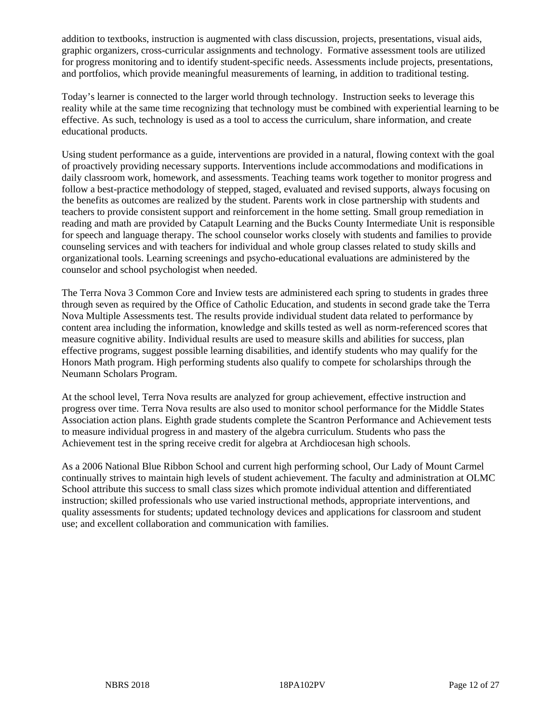addition to textbooks, instruction is augmented with class discussion, projects, presentations, visual aids, graphic organizers, cross-curricular assignments and technology. Formative assessment tools are utilized for progress monitoring and to identify student-specific needs. Assessments include projects, presentations, and portfolios, which provide meaningful measurements of learning, in addition to traditional testing.

Today's learner is connected to the larger world through technology. Instruction seeks to leverage this reality while at the same time recognizing that technology must be combined with experiential learning to be effective. As such, technology is used as a tool to access the curriculum, share information, and create educational products.

Using student performance as a guide, interventions are provided in a natural, flowing context with the goal of proactively providing necessary supports. Interventions include accommodations and modifications in daily classroom work, homework, and assessments. Teaching teams work together to monitor progress and follow a best-practice methodology of stepped, staged, evaluated and revised supports, always focusing on the benefits as outcomes are realized by the student. Parents work in close partnership with students and teachers to provide consistent support and reinforcement in the home setting. Small group remediation in reading and math are provided by Catapult Learning and the Bucks County Intermediate Unit is responsible for speech and language therapy. The school counselor works closely with students and families to provide counseling services and with teachers for individual and whole group classes related to study skills and organizational tools. Learning screenings and psycho-educational evaluations are administered by the counselor and school psychologist when needed.

The Terra Nova 3 Common Core and Inview tests are administered each spring to students in grades three through seven as required by the Office of Catholic Education, and students in second grade take the Terra Nova Multiple Assessments test. The results provide individual student data related to performance by content area including the information, knowledge and skills tested as well as norm-referenced scores that measure cognitive ability. Individual results are used to measure skills and abilities for success, plan effective programs, suggest possible learning disabilities, and identify students who may qualify for the Honors Math program. High performing students also qualify to compete for scholarships through the Neumann Scholars Program.

At the school level, Terra Nova results are analyzed for group achievement, effective instruction and progress over time. Terra Nova results are also used to monitor school performance for the Middle States Association action plans. Eighth grade students complete the Scantron Performance and Achievement tests to measure individual progress in and mastery of the algebra curriculum. Students who pass the Achievement test in the spring receive credit for algebra at Archdiocesan high schools.

As a 2006 National Blue Ribbon School and current high performing school, Our Lady of Mount Carmel continually strives to maintain high levels of student achievement. The faculty and administration at OLMC School attribute this success to small class sizes which promote individual attention and differentiated instruction; skilled professionals who use varied instructional methods, appropriate interventions, and quality assessments for students; updated technology devices and applications for classroom and student use; and excellent collaboration and communication with families.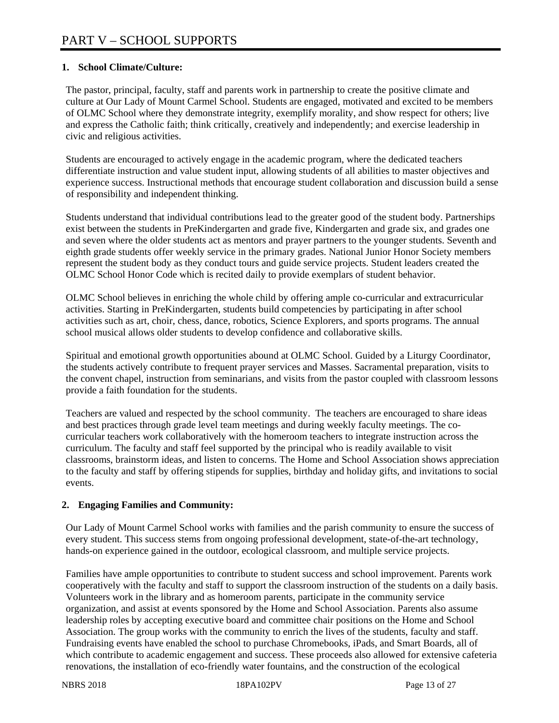#### **1. School Climate/Culture:**

The pastor, principal, faculty, staff and parents work in partnership to create the positive climate and culture at Our Lady of Mount Carmel School. Students are engaged, motivated and excited to be members of OLMC School where they demonstrate integrity, exemplify morality, and show respect for others; live and express the Catholic faith; think critically, creatively and independently; and exercise leadership in civic and religious activities.

Students are encouraged to actively engage in the academic program, where the dedicated teachers differentiate instruction and value student input, allowing students of all abilities to master objectives and experience success. Instructional methods that encourage student collaboration and discussion build a sense of responsibility and independent thinking.

Students understand that individual contributions lead to the greater good of the student body. Partnerships exist between the students in PreKindergarten and grade five, Kindergarten and grade six, and grades one and seven where the older students act as mentors and prayer partners to the younger students. Seventh and eighth grade students offer weekly service in the primary grades. National Junior Honor Society members represent the student body as they conduct tours and guide service projects. Student leaders created the OLMC School Honor Code which is recited daily to provide exemplars of student behavior.

OLMC School believes in enriching the whole child by offering ample co-curricular and extracurricular activities. Starting in PreKindergarten, students build competencies by participating in after school activities such as art, choir, chess, dance, robotics, Science Explorers, and sports programs. The annual school musical allows older students to develop confidence and collaborative skills.

Spiritual and emotional growth opportunities abound at OLMC School. Guided by a Liturgy Coordinator, the students actively contribute to frequent prayer services and Masses. Sacramental preparation, visits to the convent chapel, instruction from seminarians, and visits from the pastor coupled with classroom lessons provide a faith foundation for the students.

Teachers are valued and respected by the school community. The teachers are encouraged to share ideas and best practices through grade level team meetings and during weekly faculty meetings. The cocurricular teachers work collaboratively with the homeroom teachers to integrate instruction across the curriculum. The faculty and staff feel supported by the principal who is readily available to visit classrooms, brainstorm ideas, and listen to concerns. The Home and School Association shows appreciation to the faculty and staff by offering stipends for supplies, birthday and holiday gifts, and invitations to social events.

#### **2. Engaging Families and Community:**

Our Lady of Mount Carmel School works with families and the parish community to ensure the success of every student. This success stems from ongoing professional development, state-of-the-art technology, hands-on experience gained in the outdoor, ecological classroom, and multiple service projects.

Families have ample opportunities to contribute to student success and school improvement. Parents work cooperatively with the faculty and staff to support the classroom instruction of the students on a daily basis. Volunteers work in the library and as homeroom parents, participate in the community service organization, and assist at events sponsored by the Home and School Association. Parents also assume leadership roles by accepting executive board and committee chair positions on the Home and School Association. The group works with the community to enrich the lives of the students, faculty and staff. Fundraising events have enabled the school to purchase Chromebooks, iPads, and Smart Boards, all of which contribute to academic engagement and success. These proceeds also allowed for extensive cafeteria renovations, the installation of eco-friendly water fountains, and the construction of the ecological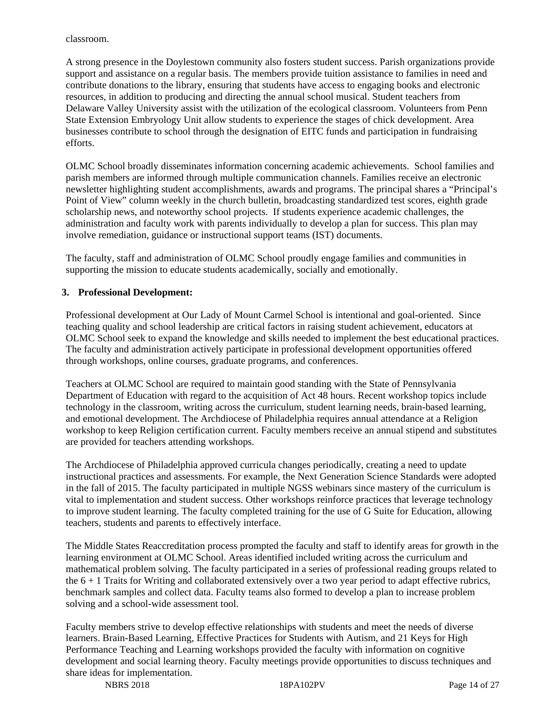classroom.

A strong presence in the Doylestown community also fosters student success. Parish organizations provide support and assistance on a regular basis. The members provide tuition assistance to families in need and contribute donations to the library, ensuring that students have access to engaging books and electronic resources, in addition to producing and directing the annual school musical. Student teachers from Delaware Valley University assist with the utilization of the ecological classroom. Volunteers from Penn State Extension Embryology Unit allow students to experience the stages of chick development. Area businesses contribute to school through the designation of EITC funds and participation in fundraising efforts.

OLMC School broadly disseminates information concerning academic achievements. School families and parish members are informed through multiple communication channels. Families receive an electronic newsletter highlighting student accomplishments, awards and programs. The principal shares a "Principal's Point of View" column weekly in the church bulletin, broadcasting standardized test scores, eighth grade scholarship news, and noteworthy school projects. If students experience academic challenges, the administration and faculty work with parents individually to develop a plan for success. This plan may involve remediation, guidance or instructional support teams (IST) documents.

The faculty, staff and administration of OLMC School proudly engage families and communities in supporting the mission to educate students academically, socially and emotionally.

#### **3. Professional Development:**

Professional development at Our Lady of Mount Carmel School is intentional and goal-oriented. Since teaching quality and school leadership are critical factors in raising student achievement, educators at OLMC School seek to expand the knowledge and skills needed to implement the best educational practices. The faculty and administration actively participate in professional development opportunities offered through workshops, online courses, graduate programs, and conferences.

Teachers at OLMC School are required to maintain good standing with the State of Pennsylvania Department of Education with regard to the acquisition of Act 48 hours. Recent workshop topics include technology in the classroom, writing across the curriculum, student learning needs, brain-based learning, and emotional development. The Archdiocese of Philadelphia requires annual attendance at a Religion workshop to keep Religion certification current. Faculty members receive an annual stipend and substitutes are provided for teachers attending workshops.

The Archdiocese of Philadelphia approved curricula changes periodically, creating a need to update instructional practices and assessments. For example, the Next Generation Science Standards were adopted in the fall of 2015. The faculty participated in multiple NGSS webinars since mastery of the curriculum is vital to implementation and student success. Other workshops reinforce practices that leverage technology to improve student learning. The faculty completed training for the use of G Suite for Education, allowing teachers, students and parents to effectively interface.

The Middle States Reaccreditation process prompted the faculty and staff to identify areas for growth in the learning environment at OLMC School. Areas identified included writing across the curriculum and mathematical problem solving. The faculty participated in a series of professional reading groups related to the  $6 + 1$  Traits for Writing and collaborated extensively over a two year period to adapt effective rubrics, benchmark samples and collect data. Faculty teams also formed to develop a plan to increase problem solving and a school-wide assessment tool.

Faculty members strive to develop effective relationships with students and meet the needs of diverse learners. Brain-Based Learning, Effective Practices for Students with Autism, and 21 Keys for High Performance Teaching and Learning workshops provided the faculty with information on cognitive development and social learning theory. Faculty meetings provide opportunities to discuss techniques and share ideas for implementation.

NBRS 2018 18PA102PV Page 14 of 27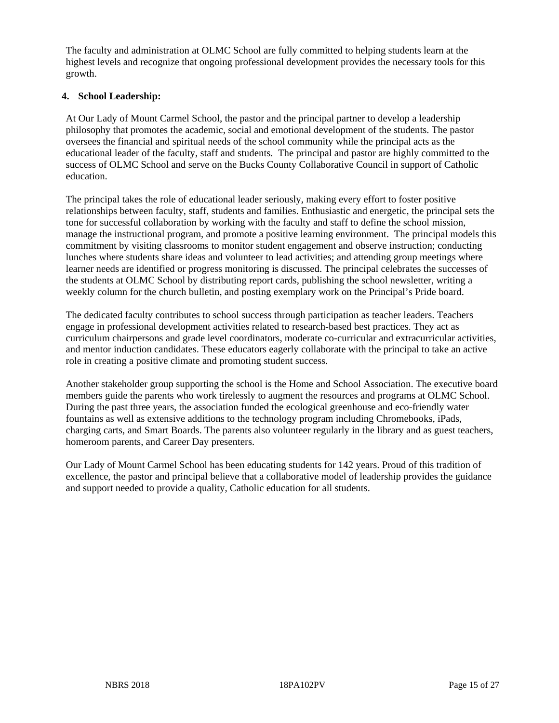The faculty and administration at OLMC School are fully committed to helping students learn at the highest levels and recognize that ongoing professional development provides the necessary tools for this growth.

#### **4. School Leadership:**

At Our Lady of Mount Carmel School, the pastor and the principal partner to develop a leadership philosophy that promotes the academic, social and emotional development of the students. The pastor oversees the financial and spiritual needs of the school community while the principal acts as the educational leader of the faculty, staff and students. The principal and pastor are highly committed to the success of OLMC School and serve on the Bucks County Collaborative Council in support of Catholic education.

The principal takes the role of educational leader seriously, making every effort to foster positive relationships between faculty, staff, students and families. Enthusiastic and energetic, the principal sets the tone for successful collaboration by working with the faculty and staff to define the school mission, manage the instructional program, and promote a positive learning environment. The principal models this commitment by visiting classrooms to monitor student engagement and observe instruction; conducting lunches where students share ideas and volunteer to lead activities; and attending group meetings where learner needs are identified or progress monitoring is discussed. The principal celebrates the successes of the students at OLMC School by distributing report cards, publishing the school newsletter, writing a weekly column for the church bulletin, and posting exemplary work on the Principal's Pride board.

The dedicated faculty contributes to school success through participation as teacher leaders. Teachers engage in professional development activities related to research-based best practices. They act as curriculum chairpersons and grade level coordinators, moderate co-curricular and extracurricular activities, and mentor induction candidates. These educators eagerly collaborate with the principal to take an active role in creating a positive climate and promoting student success.

Another stakeholder group supporting the school is the Home and School Association. The executive board members guide the parents who work tirelessly to augment the resources and programs at OLMC School. During the past three years, the association funded the ecological greenhouse and eco-friendly water fountains as well as extensive additions to the technology program including Chromebooks, iPads, charging carts, and Smart Boards. The parents also volunteer regularly in the library and as guest teachers, homeroom parents, and Career Day presenters.

Our Lady of Mount Carmel School has been educating students for 142 years. Proud of this tradition of excellence, the pastor and principal believe that a collaborative model of leadership provides the guidance and support needed to provide a quality, Catholic education for all students.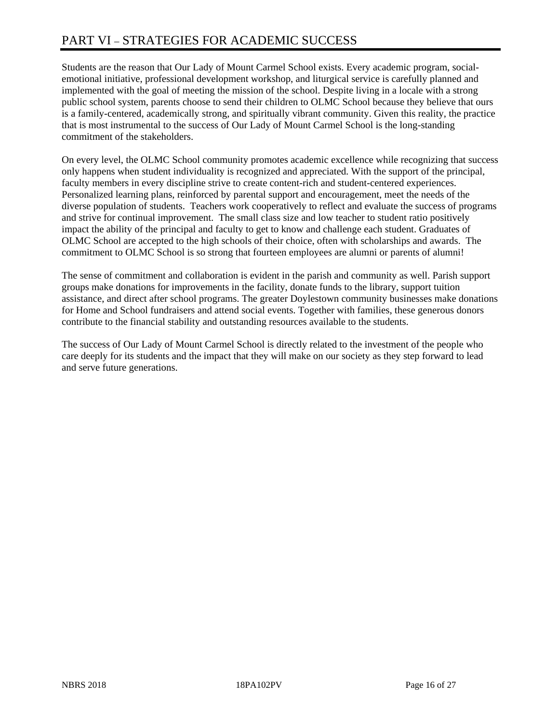Students are the reason that Our Lady of Mount Carmel School exists. Every academic program, socialemotional initiative, professional development workshop, and liturgical service is carefully planned and implemented with the goal of meeting the mission of the school. Despite living in a locale with a strong public school system, parents choose to send their children to OLMC School because they believe that ours is a family-centered, academically strong, and spiritually vibrant community. Given this reality, the practice that is most instrumental to the success of Our Lady of Mount Carmel School is the long-standing commitment of the stakeholders.

On every level, the OLMC School community promotes academic excellence while recognizing that success only happens when student individuality is recognized and appreciated. With the support of the principal, faculty members in every discipline strive to create content-rich and student-centered experiences. Personalized learning plans, reinforced by parental support and encouragement, meet the needs of the diverse population of students. Teachers work cooperatively to reflect and evaluate the success of programs and strive for continual improvement. The small class size and low teacher to student ratio positively impact the ability of the principal and faculty to get to know and challenge each student. Graduates of OLMC School are accepted to the high schools of their choice, often with scholarships and awards. The commitment to OLMC School is so strong that fourteen employees are alumni or parents of alumni!

The sense of commitment and collaboration is evident in the parish and community as well. Parish support groups make donations for improvements in the facility, donate funds to the library, support tuition assistance, and direct after school programs. The greater Doylestown community businesses make donations for Home and School fundraisers and attend social events. Together with families, these generous donors contribute to the financial stability and outstanding resources available to the students.

The success of Our Lady of Mount Carmel School is directly related to the investment of the people who care deeply for its students and the impact that they will make on our society as they step forward to lead and serve future generations.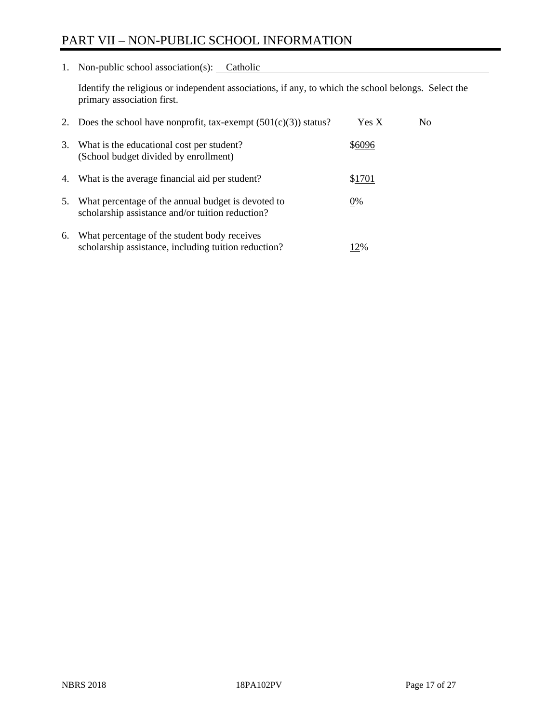# PART VII – NON-PUBLIC SCHOOL INFORMATION

1. Non-public school association(s): Catholic

Identify the religious or independent associations, if any, to which the school belongs. Select the primary association first.

| 2. | Does the school have nonprofit, tax-exempt $(501(c)(3))$ status?                                       | Yes X  | No. |
|----|--------------------------------------------------------------------------------------------------------|--------|-----|
| 3. | What is the educational cost per student?<br>(School budget divided by enrollment)                     | \$6096 |     |
| 4. | What is the average financial aid per student?                                                         | \$1701 |     |
| 5. | What percentage of the annual budget is devoted to<br>scholarship assistance and/or tuition reduction? | 0%     |     |
| 6. | What percentage of the student body receives<br>scholarship assistance, including tuition reduction?   | 2%     |     |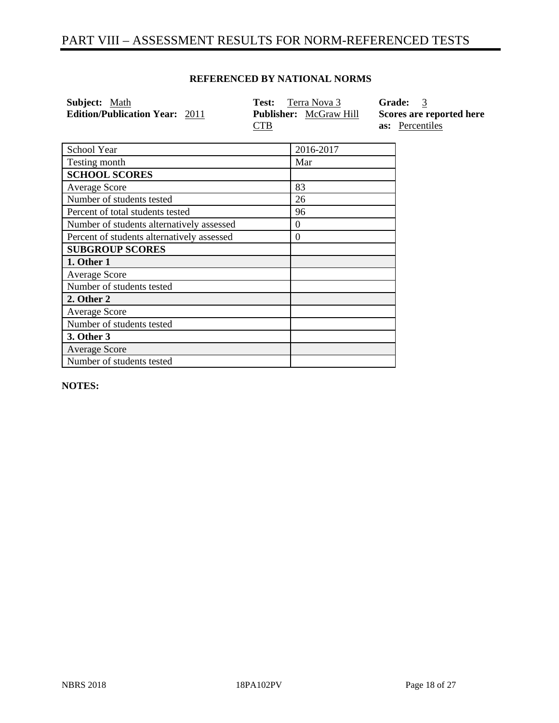# PART VIII – ASSESSMENT RESULTS FOR NORM-REFERENCED TESTS

#### **REFERENCED BY NATIONAL NORMS**

| Subject: Math                         | <b>Test:</b> Terra Nova 3     | Grade: 3                 |
|---------------------------------------|-------------------------------|--------------------------|
| <b>Edition/Publication Year: 2011</b> | <b>Publisher:</b> McGraw Hill | Scores are reported here |
|                                       | CTB                           | <b>as:</b> Percentiles   |

| School Year                                | 2016-2017 |
|--------------------------------------------|-----------|
| Testing month                              | Mar       |
| <b>SCHOOL SCORES</b>                       |           |
| Average Score                              | 83        |
| Number of students tested                  | 26        |
| Percent of total students tested           | 96        |
| Number of students alternatively assessed  | $\theta$  |
| Percent of students alternatively assessed | $\Omega$  |
| <b>SUBGROUP SCORES</b>                     |           |
| 1. Other 1                                 |           |
| Average Score                              |           |
| Number of students tested                  |           |
| 2. Other 2                                 |           |
| <b>Average Score</b>                       |           |
| Number of students tested                  |           |
| 3. Other 3                                 |           |
| <b>Average Score</b>                       |           |
| Number of students tested                  |           |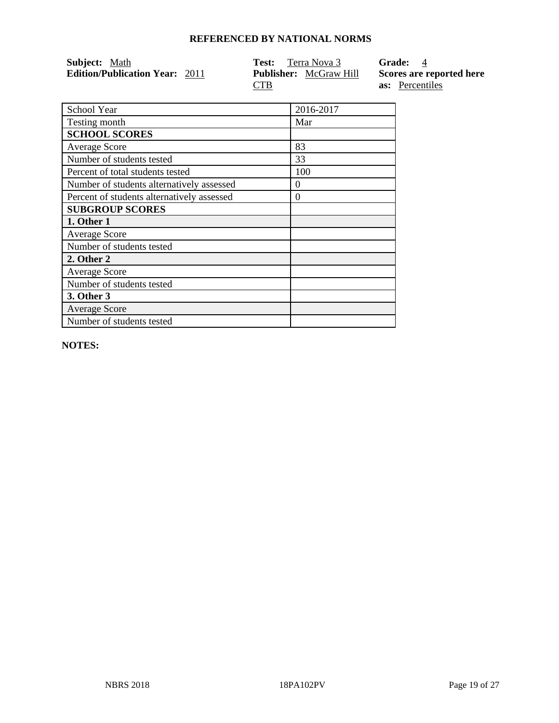| <b>Subject:</b> Math                  | <b>Test:</b> Terra Nova 3     | <b>Grade:</b> 4          |
|---------------------------------------|-------------------------------|--------------------------|
| <b>Edition/Publication Year: 2011</b> | <b>Publisher:</b> McGraw Hill | Scores are reported here |
|                                       | <b>CTB</b>                    | <b>as:</b> Percentiles   |

| School Year                                | 2016-2017 |
|--------------------------------------------|-----------|
| Testing month                              | Mar       |
| <b>SCHOOL SCORES</b>                       |           |
| <b>Average Score</b>                       | 83        |
| Number of students tested                  | 33        |
| Percent of total students tested           | 100       |
| Number of students alternatively assessed  | $\theta$  |
| Percent of students alternatively assessed | $\Omega$  |
| <b>SUBGROUP SCORES</b>                     |           |
| 1. Other 1                                 |           |
| <b>Average Score</b>                       |           |
| Number of students tested                  |           |
| 2. Other 2                                 |           |
| <b>Average Score</b>                       |           |
| Number of students tested                  |           |
| 3. Other 3                                 |           |
| <b>Average Score</b>                       |           |
| Number of students tested                  |           |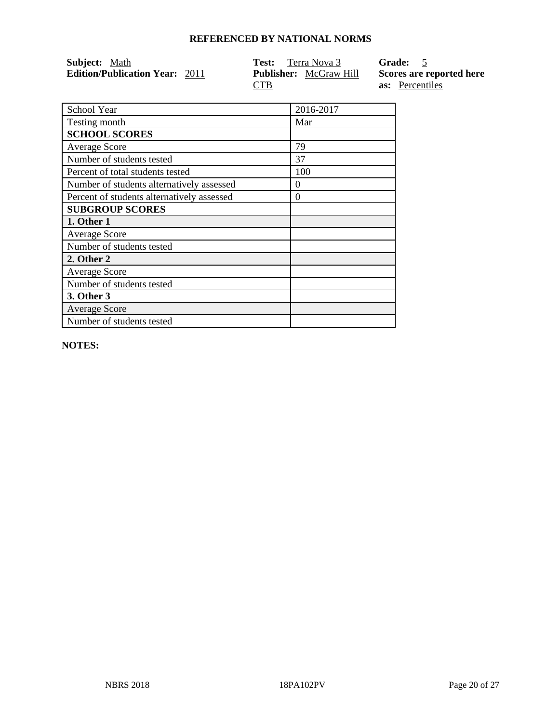| Subject: Math                         | <b>Test:</b> Terra Nova 3     | Grade: 5                 |
|---------------------------------------|-------------------------------|--------------------------|
| <b>Edition/Publication Year: 2011</b> | <b>Publisher:</b> McGraw Hill | Scores are reported here |
|                                       | <b>CTB</b>                    | <b>as:</b> Percentiles   |

| School Year                                | 2016-2017 |
|--------------------------------------------|-----------|
| Testing month                              | Mar       |
| <b>SCHOOL SCORES</b>                       |           |
| <b>Average Score</b>                       | 79        |
| Number of students tested                  | 37        |
| Percent of total students tested           | 100       |
| Number of students alternatively assessed  | $\theta$  |
| Percent of students alternatively assessed | $\Omega$  |
| <b>SUBGROUP SCORES</b>                     |           |
| 1. Other 1                                 |           |
| <b>Average Score</b>                       |           |
| Number of students tested                  |           |
| 2. Other 2                                 |           |
| <b>Average Score</b>                       |           |
| Number of students tested                  |           |
| 3. Other 3                                 |           |
| <b>Average Score</b>                       |           |
| Number of students tested                  |           |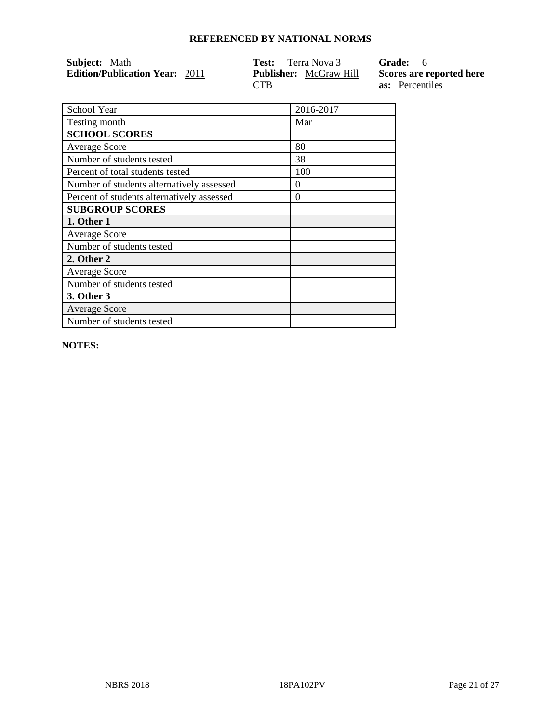| <b>Subject:</b> Math                  | <b>Test:</b> Terra Nova 3            | Grade: 6                                           |
|---------------------------------------|--------------------------------------|----------------------------------------------------|
| <b>Edition/Publication Year: 2011</b> | <b>Publisher:</b> McGraw Hill<br>CTB | Scores are reported here<br><b>as:</b> Percentiles |

| School Year                                | 2016-2017 |
|--------------------------------------------|-----------|
| Testing month                              | Mar       |
| <b>SCHOOL SCORES</b>                       |           |
| <b>Average Score</b>                       | 80        |
| Number of students tested                  | 38        |
| Percent of total students tested           | 100       |
| Number of students alternatively assessed  | $\theta$  |
| Percent of students alternatively assessed | $\Omega$  |
| <b>SUBGROUP SCORES</b>                     |           |
| 1. Other 1                                 |           |
| <b>Average Score</b>                       |           |
| Number of students tested                  |           |
| 2. Other 2                                 |           |
| <b>Average Score</b>                       |           |
| Number of students tested                  |           |
| 3. Other 3                                 |           |
| <b>Average Score</b>                       |           |
| Number of students tested                  |           |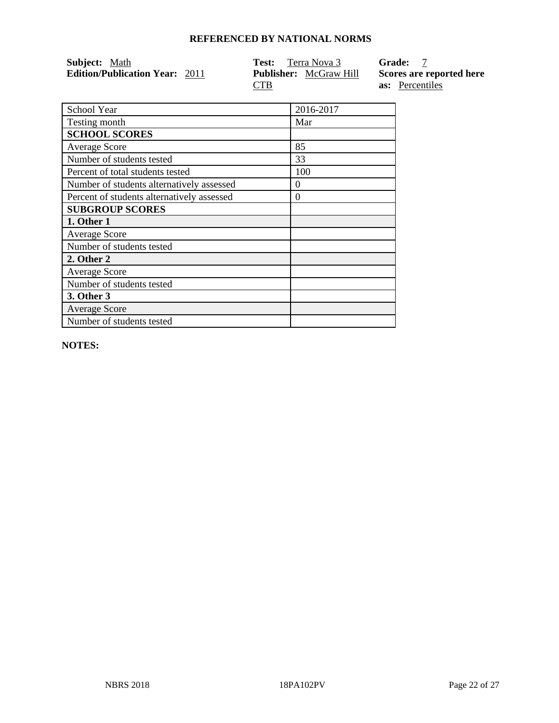| Subject: Math                         | <b>Test:</b> Terra Nova 3     | <b>Grade:</b> 7          |
|---------------------------------------|-------------------------------|--------------------------|
| <b>Edition/Publication Year: 2011</b> | <b>Publisher:</b> McGraw Hill | Scores are reported here |
|                                       | <b>CTB</b>                    | <b>as:</b> Percentiles   |

| School Year                                | 2016-2017 |
|--------------------------------------------|-----------|
| Testing month                              | Mar       |
| <b>SCHOOL SCORES</b>                       |           |
| <b>Average Score</b>                       | 85        |
| Number of students tested                  | 33        |
| Percent of total students tested           | 100       |
| Number of students alternatively assessed  | $\theta$  |
| Percent of students alternatively assessed | $\theta$  |
| <b>SUBGROUP SCORES</b>                     |           |
| 1. Other 1                                 |           |
| <b>Average Score</b>                       |           |
| Number of students tested                  |           |
| 2. Other 2                                 |           |
| <b>Average Score</b>                       |           |
| Number of students tested                  |           |
| 3. Other 3                                 |           |
| <b>Average Score</b>                       |           |
| Number of students tested                  |           |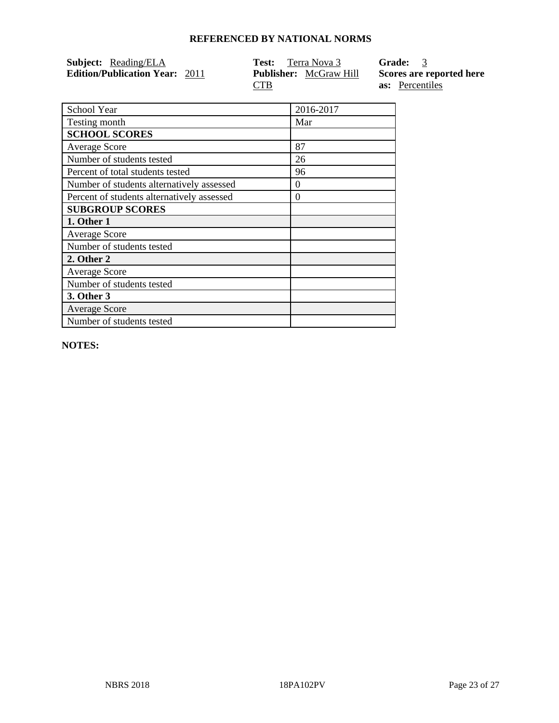| <b>Subject:</b> Reading/ELA           | <b>Test:</b> Terra Nova 3     | Grade: 3                 |
|---------------------------------------|-------------------------------|--------------------------|
| <b>Edition/Publication Year: 2011</b> | <b>Publisher:</b> McGraw Hill | Scores are reported here |
|                                       | CTB                           | <b>as:</b> Percentiles   |

| School Year                                | 2016-2017 |
|--------------------------------------------|-----------|
| Testing month                              | Mar       |
| <b>SCHOOL SCORES</b>                       |           |
| <b>Average Score</b>                       | 87        |
| Number of students tested                  | 26        |
| Percent of total students tested           | 96        |
| Number of students alternatively assessed  | $\Omega$  |
| Percent of students alternatively assessed | $\Omega$  |
| <b>SUBGROUP SCORES</b>                     |           |
| 1. Other 1                                 |           |
| <b>Average Score</b>                       |           |
| Number of students tested                  |           |
| 2. Other 2                                 |           |
| <b>Average Score</b>                       |           |
| Number of students tested                  |           |
| 3. Other 3                                 |           |
| <b>Average Score</b>                       |           |
| Number of students tested                  |           |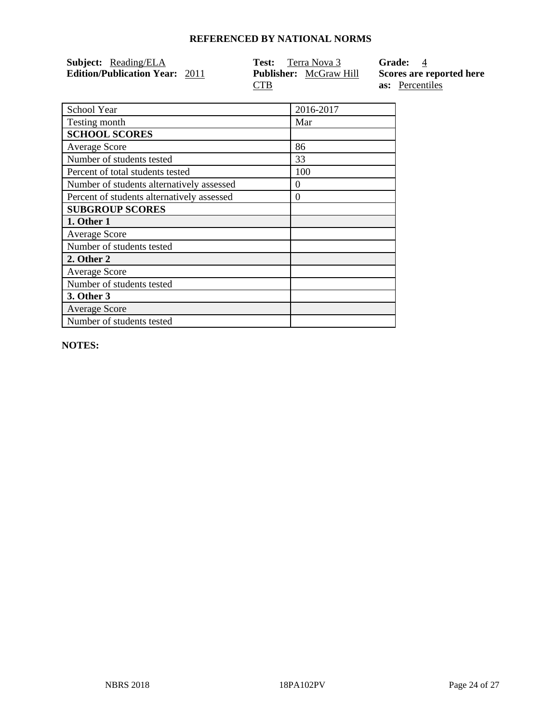| <b>Subject:</b> Reading/ELA           | <b>Test:</b> Terra Nova 3     | <b>Grade:</b> 4          |
|---------------------------------------|-------------------------------|--------------------------|
| <b>Edition/Publication Year: 2011</b> | <b>Publisher:</b> McGraw Hill | Scores are reported here |
|                                       | CTB                           | <b>as:</b> Percentiles   |

| School Year                                | 2016-2017 |
|--------------------------------------------|-----------|
| Testing month                              | Mar       |
| <b>SCHOOL SCORES</b>                       |           |
| <b>Average Score</b>                       | 86        |
| Number of students tested                  | 33        |
| Percent of total students tested           | 100       |
| Number of students alternatively assessed  | $\theta$  |
| Percent of students alternatively assessed | $\Omega$  |
| <b>SUBGROUP SCORES</b>                     |           |
| 1. Other 1                                 |           |
| <b>Average Score</b>                       |           |
| Number of students tested                  |           |
| 2. Other 2                                 |           |
| <b>Average Score</b>                       |           |
| Number of students tested                  |           |
| 3. Other 3                                 |           |
| <b>Average Score</b>                       |           |
| Number of students tested                  |           |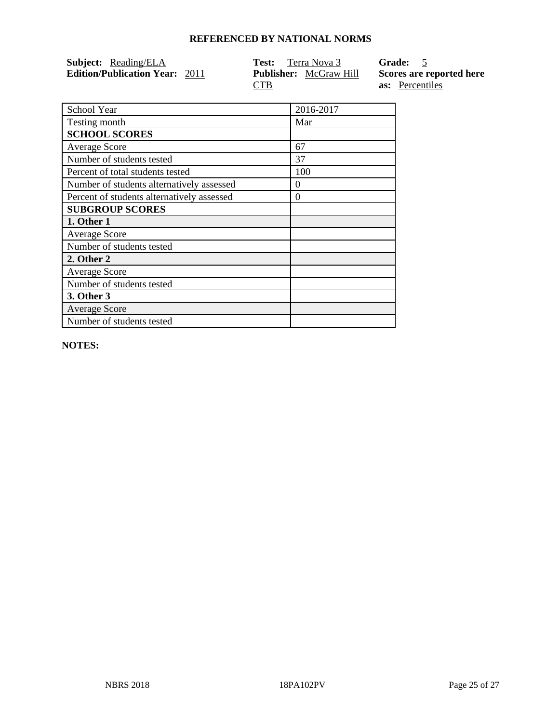| <b>Subject:</b> Reading/ELA           | <b>Test:</b> Terra Nova 3     | Grade: 5                 |
|---------------------------------------|-------------------------------|--------------------------|
| <b>Edition/Publication Year: 2011</b> | <b>Publisher:</b> McGraw Hill | Scores are reported here |
|                                       | CTB                           | <b>as:</b> Percentiles   |

| School Year                                | 2016-2017 |
|--------------------------------------------|-----------|
| Testing month                              | Mar       |
| <b>SCHOOL SCORES</b>                       |           |
| <b>Average Score</b>                       | 67        |
| Number of students tested                  | 37        |
| Percent of total students tested           | 100       |
| Number of students alternatively assessed  | $\theta$  |
| Percent of students alternatively assessed | $\Omega$  |
| <b>SUBGROUP SCORES</b>                     |           |
| 1. Other 1                                 |           |
| <b>Average Score</b>                       |           |
| Number of students tested                  |           |
| 2. Other 2                                 |           |
| <b>Average Score</b>                       |           |
| Number of students tested                  |           |
| 3. Other 3                                 |           |
| <b>Average Score</b>                       |           |
| Number of students tested                  |           |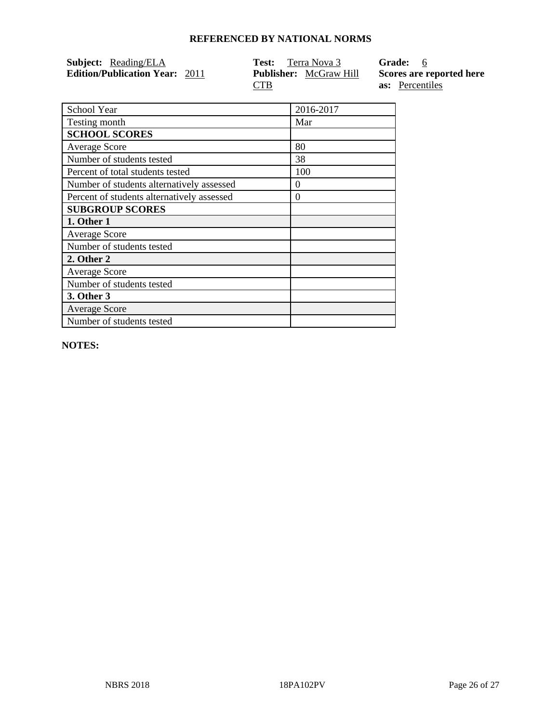| <b>Subject:</b> Reading/ELA           | <b>Test:</b> Terra Nova 3     | Grade: 6                 |
|---------------------------------------|-------------------------------|--------------------------|
| <b>Edition/Publication Year: 2011</b> | <b>Publisher:</b> McGraw Hill | Scores are reported here |
|                                       | CTB                           | <b>as:</b> Percentiles   |

| School Year                                | 2016-2017 |
|--------------------------------------------|-----------|
| Testing month                              | Mar       |
| <b>SCHOOL SCORES</b>                       |           |
| <b>Average Score</b>                       | 80        |
| Number of students tested                  | 38        |
| Percent of total students tested           | 100       |
| Number of students alternatively assessed  | $\theta$  |
| Percent of students alternatively assessed | $\Omega$  |
| <b>SUBGROUP SCORES</b>                     |           |
| 1. Other 1                                 |           |
| <b>Average Score</b>                       |           |
| Number of students tested                  |           |
| 2. Other 2                                 |           |
| <b>Average Score</b>                       |           |
| Number of students tested                  |           |
| 3. Other 3                                 |           |
| <b>Average Score</b>                       |           |
| Number of students tested                  |           |